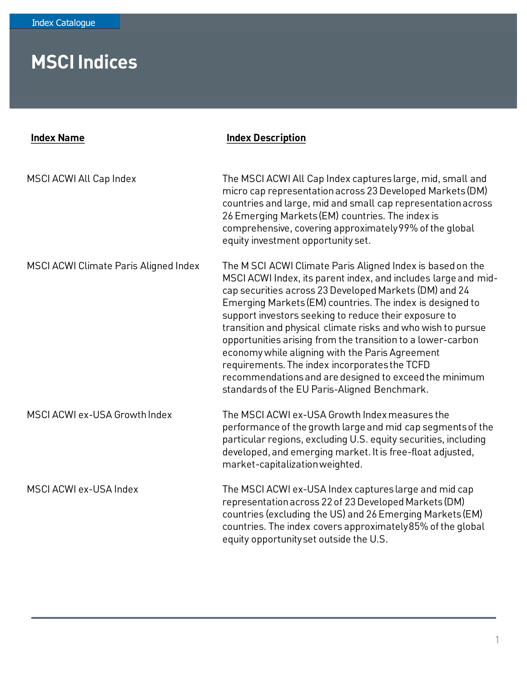| <b>Index Name</b>                     | <b>Index Description</b>                                                                                                                                                                                                                                                                                                                                                                                                                                                                                                                                                                                                                                  |
|---------------------------------------|-----------------------------------------------------------------------------------------------------------------------------------------------------------------------------------------------------------------------------------------------------------------------------------------------------------------------------------------------------------------------------------------------------------------------------------------------------------------------------------------------------------------------------------------------------------------------------------------------------------------------------------------------------------|
| MSCI ACWI All Cap Index               | The MSCI ACWI All Cap Index captures large, mid, small and<br>micro cap representation across 23 Developed Markets (DM)<br>countries and large, mid and small cap representation across<br>26 Emerging Markets (EM) countries. The index is<br>comprehensive, covering approximately 99% of the global<br>equity investment opportunity set.                                                                                                                                                                                                                                                                                                              |
| MSCI ACWI Climate Paris Aligned Index | The M SCI ACWI Climate Paris Aligned Index is based on the<br>MSCI ACWI Index, its parent index, and includes large and mid-<br>cap securities across 23 Developed Markets (DM) and 24<br>Emerging Markets (EM) countries. The index is designed to<br>support investors seeking to reduce their exposure to<br>transition and physical climate risks and who wish to pursue<br>opportunities arising from the transition to a lower-carbon<br>economy while aligning with the Paris Agreement<br>requirements. The index incorporates the TCFD<br>recommendations and are designed to exceed the minimum<br>standards of the EU Paris-Aligned Benchmark. |
| MSCI ACWI ex-USA Growth Index         | The MSCI ACWI ex-USA Growth Index measures the<br>performance of the growth large and mid cap segments of the<br>particular regions, excluding U.S. equity securities, including<br>developed, and emerging market. It is free-float adjusted,<br>market-capitalization weighted.                                                                                                                                                                                                                                                                                                                                                                         |
| MSCI ACWI ex-USA Index                | The MSCI ACWI ex-USA Index captures large and mid cap<br>representation across 22 of 23 Developed Markets (DM)<br>countries (excluding the US) and 26 Emerging Markets (EM)<br>countries. The index covers approximately 85% of the global<br>equity opportunity set outside the U.S.                                                                                                                                                                                                                                                                                                                                                                     |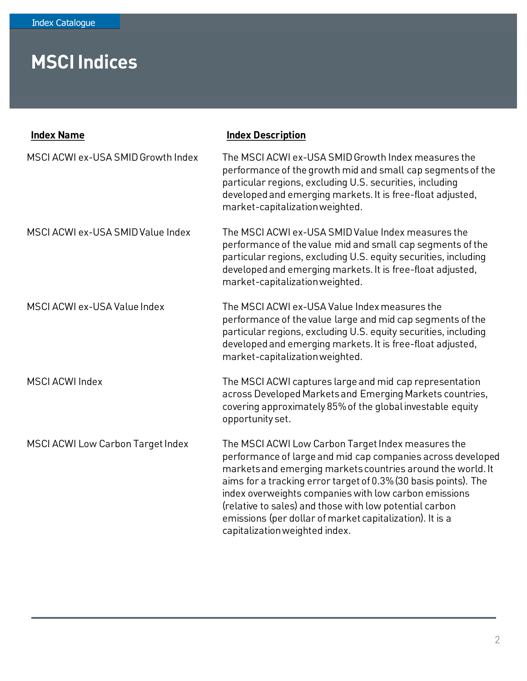| <b>Index Name</b>                  | <b>Index Description</b>                                                                                                                                                                                                                                                                                                                                                                                                                                              |
|------------------------------------|-----------------------------------------------------------------------------------------------------------------------------------------------------------------------------------------------------------------------------------------------------------------------------------------------------------------------------------------------------------------------------------------------------------------------------------------------------------------------|
| MSCI ACWI ex-USA SMID Growth Index | The MSCI ACWI ex-USA SMID Growth Index measures the<br>performance of the growth mid and small cap segments of the<br>particular regions, excluding U.S. securities, including<br>developed and emerging markets. It is free-float adjusted,<br>market-capitalization weighted.                                                                                                                                                                                       |
| MSCI ACWI ex-USA SMID Value Index  | The MSCI ACWI ex-USA SMID Value Index measures the<br>performance of the value mid and small cap segments of the<br>particular regions, excluding U.S. equity securities, including<br>developed and emerging markets. It is free-float adjusted,<br>market-capitalization weighted.                                                                                                                                                                                  |
| MSCI ACWI ex-USA Value Index       | The MSCI ACWI ex-USA Value Index measures the<br>performance of the value large and mid cap segments of the<br>particular regions, excluding U.S. equity securities, including<br>developed and emerging markets. It is free-float adjusted,<br>market-capitalization weighted.                                                                                                                                                                                       |
| <b>MSCI ACWI Index</b>             | The MSCI ACWI captures large and mid cap representation<br>across Developed Markets and Emerging Markets countries,<br>covering approximately 85% of the global investable equity<br>opportunity set.                                                                                                                                                                                                                                                                 |
| MSCI ACWI Low Carbon Target Index  | The MSCI ACWI Low Carbon Target Index measures the<br>performance of large and mid cap companies across developed<br>markets and emerging markets countries around the world. It<br>aims for a tracking error target of 0.3% (30 basis points). The<br>index overweights companies with low carbon emissions<br>(relative to sales) and those with low potential carbon<br>emissions (per dollar of market capitalization). It is a<br>capitalization weighted index. |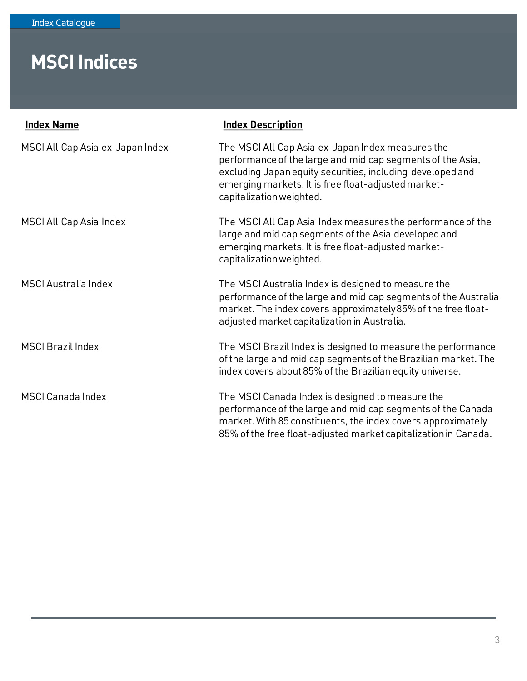| <b>Index Name</b>                | <b>Index Description</b>                                                                                                                                                                                                                                         |
|----------------------------------|------------------------------------------------------------------------------------------------------------------------------------------------------------------------------------------------------------------------------------------------------------------|
| MSCI All Cap Asia ex-Japan Index | The MSCI All Cap Asia ex-Japan Index measures the<br>performance of the large and mid cap segments of the Asia,<br>excluding Japan equity securities, including developed and<br>emerging markets. It is free float-adjusted market-<br>capitalization weighted. |
| MSCI All Cap Asia Index          | The MSCI All Cap Asia Index measures the performance of the<br>large and mid cap segments of the Asia developed and<br>emerging markets. It is free float-adjusted market-<br>capitalization weighted.                                                           |
| <b>MSCI</b> Australia Index      | The MSCI Australia Index is designed to measure the<br>performance of the large and mid cap segments of the Australia<br>market. The index covers approximately 85% of the free float-<br>adjusted market capitalization in Australia.                           |
| <b>MSCI Brazil Index</b>         | The MSCI Brazil Index is designed to measure the performance<br>of the large and mid cap segments of the Brazilian market. The<br>index covers about 85% of the Brazilian equity universe.                                                                       |
| <b>MSCI Canada Index</b>         | The MSCI Canada Index is designed to measure the<br>performance of the large and mid cap segments of the Canada<br>market. With 85 constituents, the index covers approximately<br>85% of the free float-adjusted market capitalization in Canada.               |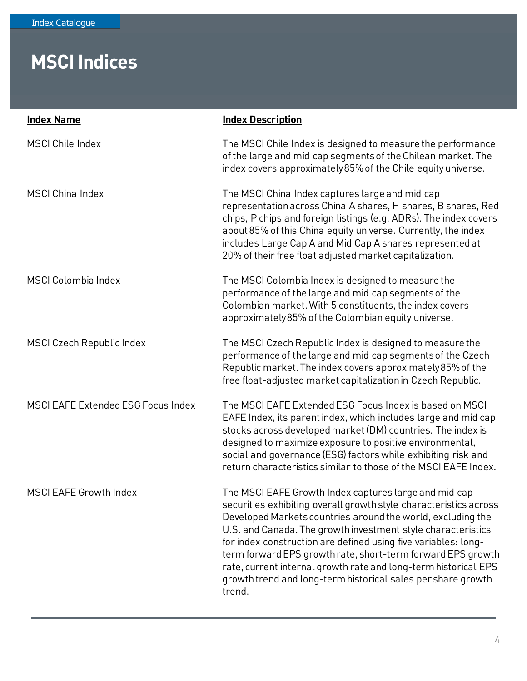| <b>Index Name</b>                  | <b>Index Description</b>                                                                                                                                                                                                                                                                                                                                                                                                                                                                                                                |
|------------------------------------|-----------------------------------------------------------------------------------------------------------------------------------------------------------------------------------------------------------------------------------------------------------------------------------------------------------------------------------------------------------------------------------------------------------------------------------------------------------------------------------------------------------------------------------------|
| <b>MSCI Chile Index</b>            | The MSCI Chile Index is designed to measure the performance<br>of the large and mid cap segments of the Chilean market. The<br>index covers approximately 85% of the Chile equity universe.                                                                                                                                                                                                                                                                                                                                             |
| <b>MSCI China Index</b>            | The MSCI China Index captures large and mid cap<br>representation across China A shares, H shares, B shares, Red<br>chips, P chips and foreign listings (e.g. ADRs). The index covers<br>about 85% of this China equity universe. Currently, the index<br>includes Large Cap A and Mid Cap A shares represented at<br>20% of their free float adjusted market capitalization.                                                                                                                                                           |
| <b>MSCI Colombia Index</b>         | The MSCI Colombia Index is designed to measure the<br>performance of the large and mid cap segments of the<br>Colombian market. With 5 constituents, the index covers<br>approximately 85% of the Colombian equity universe.                                                                                                                                                                                                                                                                                                            |
| <b>MSCI Czech Republic Index</b>   | The MSCI Czech Republic Index is designed to measure the<br>performance of the large and mid cap segments of the Czech<br>Republic market. The index covers approximately 85% of the<br>free float-adjusted market capitalization in Czech Republic.                                                                                                                                                                                                                                                                                    |
| MSCI EAFE Extended ESG Focus Index | The MSCI EAFE Extended ESG Focus Index is based on MSCI<br>EAFE Index, its parent index, which includes large and mid cap<br>stocks across developed market (DM) countries. The index is<br>designed to maximize exposure to positive environmental,<br>social and governance (ESG) factors while exhibiting risk and<br>return characteristics similar to those of the MSCI EAFE Index.                                                                                                                                                |
| <b>MSCI EAFE Growth Index</b>      | The MSCI EAFE Growth Index captures large and mid cap<br>securities exhibiting overall growth style characteristics across<br>Developed Markets countries around the world, excluding the<br>U.S. and Canada. The growth investment style characteristics<br>for index construction are defined using five variables: long-<br>term forward EPS growth rate, short-term forward EPS growth<br>rate, current internal growth rate and long-term historical EPS<br>growth trend and long-term historical sales per share growth<br>trend. |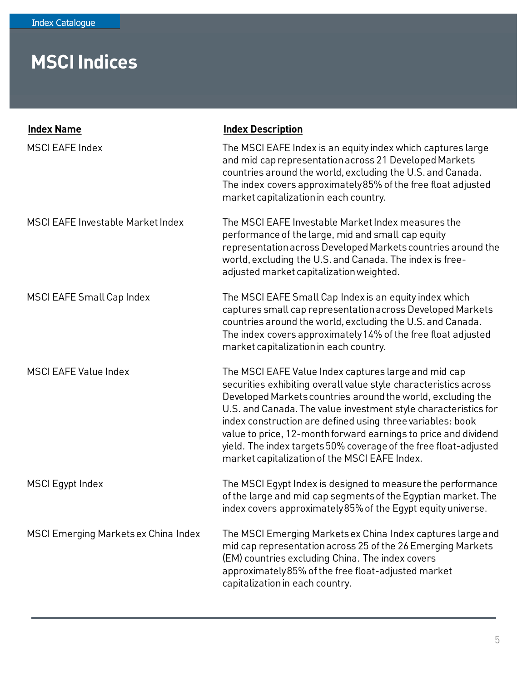| <b>Index Name</b>                    | <b>Index Description</b>                                                                                                                                                                                                                                                                                                                                                                                                                                                                                         |
|--------------------------------------|------------------------------------------------------------------------------------------------------------------------------------------------------------------------------------------------------------------------------------------------------------------------------------------------------------------------------------------------------------------------------------------------------------------------------------------------------------------------------------------------------------------|
| <b>MSCI EAFE Index</b>               | The MSCI EAFE Index is an equity index which captures large<br>and mid cap representation across 21 Developed Markets<br>countries around the world, excluding the U.S. and Canada.<br>The index covers approximately 85% of the free float adjusted<br>market capitalization in each country.                                                                                                                                                                                                                   |
| MSCI EAFE Investable Market Index    | The MSCI EAFE Investable Market Index measures the<br>performance of the large, mid and small cap equity<br>representation across Developed Markets countries around the<br>world, excluding the U.S. and Canada. The index is free-<br>adjusted market capitalization weighted.                                                                                                                                                                                                                                 |
| MSCI EAFE Small Cap Index            | The MSCI EAFE Small Cap Index is an equity index which<br>captures small cap representation across Developed Markets<br>countries around the world, excluding the U.S. and Canada.<br>The index covers approximately 14% of the free float adjusted<br>market capitalization in each country.                                                                                                                                                                                                                    |
| <b>MSCI EAFE Value Index</b>         | The MSCI EAFE Value Index captures large and mid cap<br>securities exhibiting overall value style characteristics across<br>Developed Markets countries around the world, excluding the<br>U.S. and Canada. The value investment style characteristics for<br>index construction are defined using three variables: book<br>value to price, 12-month forward earnings to price and dividend<br>yield. The index targets 50% coverage of the free float-adjusted<br>market capitalization of the MSCI EAFE Index. |
| <b>MSCI</b> Egypt Index              | The MSCI Egypt Index is designed to measure the performance<br>of the large and mid cap segments of the Egyptian market. The<br>index covers approximately 85% of the Eqypt equity universe.                                                                                                                                                                                                                                                                                                                     |
| MSCI Emerging Markets ex China Index | The MSCI Emerging Markets ex China Index captures large and<br>mid cap representation across 25 of the 26 Emerging Markets<br>(EM) countries excluding China. The index covers<br>approximately 85% of the free float-adjusted market<br>capitalization in each country.                                                                                                                                                                                                                                         |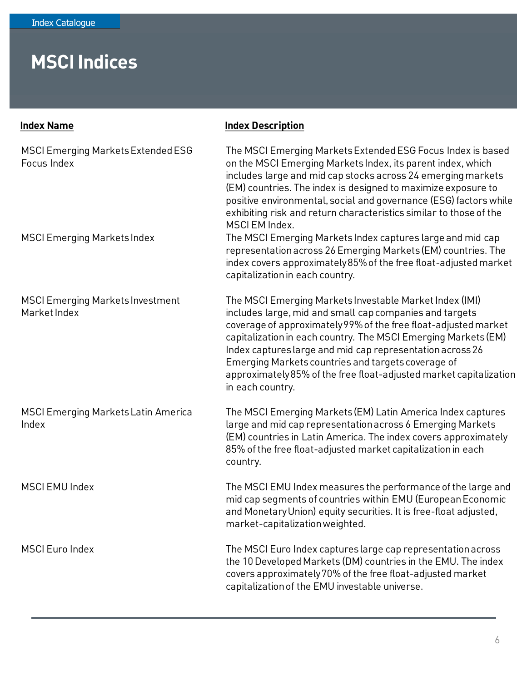| <b>Index Name</b>                                        | <b>Index Description</b>                                                                                                                                                                                                                                                                                                                                                                                                                                             |
|----------------------------------------------------------|----------------------------------------------------------------------------------------------------------------------------------------------------------------------------------------------------------------------------------------------------------------------------------------------------------------------------------------------------------------------------------------------------------------------------------------------------------------------|
| <b>MSCI Emerging Markets Extended ESG</b><br>Focus Index | The MSCI Emerging Markets Extended ESG Focus Index is based<br>on the MSCI Emerging Markets Index, its parent index, which<br>includes large and mid cap stocks across 24 emerging markets<br>(EM) countries. The index is designed to maximize exposure to<br>positive environmental, social and governance (ESG) factors while<br>exhibiting risk and return characteristics similar to those of the<br>MSCI EM Index.                                             |
| <b>MSCI Emerging Markets Index</b>                       | The MSCI Emerging Markets Index captures large and mid cap<br>representation across 26 Emerging Markets (EM) countries. The<br>index covers approximately 85% of the free float-adjusted market<br>capitalization in each country.                                                                                                                                                                                                                                   |
| <b>MSCI Emerging Markets Investment</b><br>Market Index  | The MSCI Emerging Markets Investable Market Index (IMI)<br>includes large, mid and small cap companies and targets<br>coverage of approximately 99% of the free float-adjusted market<br>capitalization in each country. The MSCI Emerging Markets (EM)<br>Index captures large and mid cap representation across 26<br>Emerging Markets countries and targets coverage of<br>approximately 85% of the free float-adjusted market capitalization<br>in each country. |
| <b>MSCI Emerging Markets Latin America</b><br>Index      | The MSCI Emerging Markets (EM) Latin America Index captures<br>large and mid cap representation across 6 Emerging Markets<br>(EM) countries in Latin America. The index covers approximately<br>85% of the free float-adjusted market capitalization in each<br>country.                                                                                                                                                                                             |
| <b>MSCI EMU Index</b>                                    | The MSCI EMU Index measures the performance of the large and<br>mid cap segments of countries within EMU (European Economic<br>and Monetary Union) equity securities. It is free-float adjusted,<br>market-capitalization weighted.                                                                                                                                                                                                                                  |
| <b>MSCI Euro Index</b>                                   | The MSCI Euro Index captures large cap representation across<br>the 10 Developed Markets (DM) countries in the EMU. The index<br>covers approximately 70% of the free float-adjusted market<br>capitalization of the EMU investable universe.                                                                                                                                                                                                                        |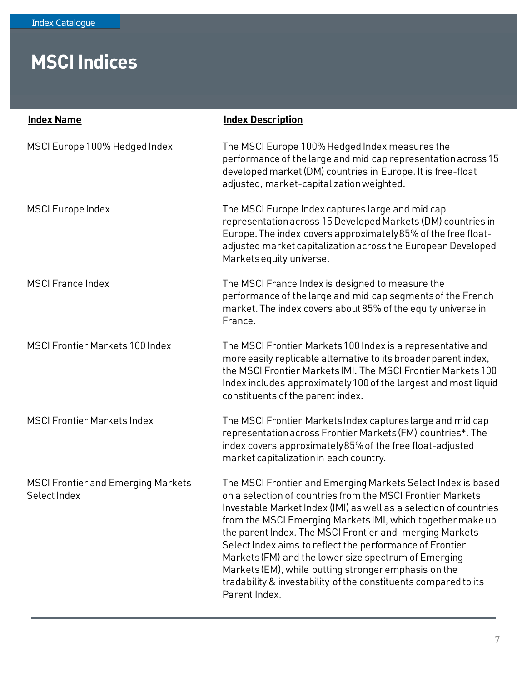| <b>Index Name</b>                                         | <b>Index Description</b>                                                                                                                                                                                                                                                                                                                                                                                                                                                                                                                                                                 |
|-----------------------------------------------------------|------------------------------------------------------------------------------------------------------------------------------------------------------------------------------------------------------------------------------------------------------------------------------------------------------------------------------------------------------------------------------------------------------------------------------------------------------------------------------------------------------------------------------------------------------------------------------------------|
| MSCI Europe 100% Hedged Index                             | The MSCI Europe 100% Hedged Index measures the<br>performance of the large and mid cap representation across 15<br>developed market (DM) countries in Europe. It is free-float<br>adjusted, market-capitalization weighted.                                                                                                                                                                                                                                                                                                                                                              |
| <b>MSCI Europe Index</b>                                  | The MSCI Europe Index captures large and mid cap<br>representation across 15 Developed Markets (DM) countries in<br>Europe. The index covers approximately 85% of the free float-<br>adjusted market capitalization across the European Developed<br>Markets equity universe.                                                                                                                                                                                                                                                                                                            |
| <b>MSCI France Index</b>                                  | The MSCI France Index is designed to measure the<br>performance of the large and mid cap segments of the French<br>market. The index covers about 85% of the equity universe in<br>France.                                                                                                                                                                                                                                                                                                                                                                                               |
| <b>MSCI Frontier Markets 100 Index</b>                    | The MSCI Frontier Markets 100 Index is a representative and<br>more easily replicable alternative to its broader parent index,<br>the MSCI Frontier Markets IMI. The MSCI Frontier Markets 100<br>Index includes approximately 100 of the largest and most liquid<br>constituents of the parent index.                                                                                                                                                                                                                                                                                   |
| <b>MSCI Frontier Markets Index</b>                        | The MSCI Frontier Markets Index captures large and mid cap<br>representation across Frontier Markets (FM) countries*. The<br>index covers approximately 85% of the free float-adjusted<br>market capitalization in each country.                                                                                                                                                                                                                                                                                                                                                         |
| <b>MSCI Frontier and Emerging Markets</b><br>Select Index | The MSCI Frontier and Emerging Markets Select Index is based<br>on a selection of countries from the MSCI Frontier Markets<br>Investable Market Index (IMI) as well as a selection of countries<br>from the MSCI Emerging Markets IMI, which together make up<br>the parent Index. The MSCI Frontier and merging Markets<br>Select Index aims to reflect the performance of Frontier<br>Markets (FM) and the lower size spectrum of Emerging<br>Markets (EM), while putting stronger emphasis on the<br>tradability & investability of the constituents compared to its<br>Parent Index. |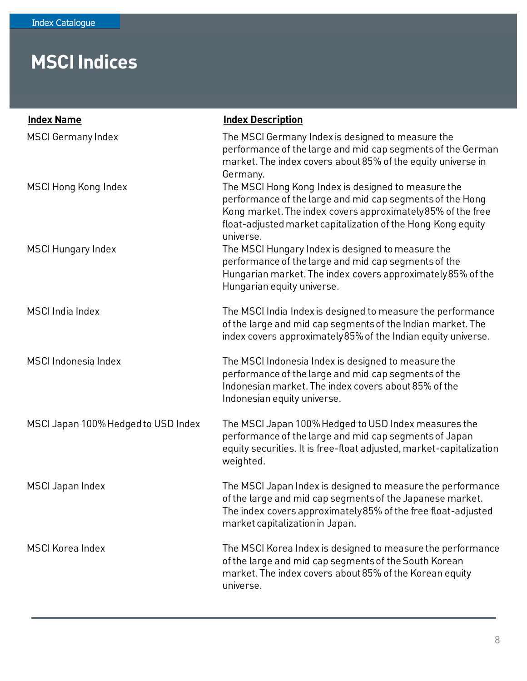| <b>Index Name</b>                   | <b>Index Description</b>                                                                                                                                                                                                                                     |
|-------------------------------------|--------------------------------------------------------------------------------------------------------------------------------------------------------------------------------------------------------------------------------------------------------------|
| <b>MSCI Germany Index</b>           | The MSCI Germany Index is designed to measure the<br>performance of the large and mid cap segments of the German<br>market. The index covers about 85% of the equity universe in<br>Germany.                                                                 |
| <b>MSCI Hong Kong Index</b>         | The MSCI Hong Kong Index is designed to measure the<br>performance of the large and mid cap segments of the Hong<br>Kong market. The index covers approximately 85% of the free<br>float-adjusted market capitalization of the Hong Kong equity<br>universe. |
| <b>MSCI Hungary Index</b>           | The MSCI Hungary Index is designed to measure the<br>performance of the large and mid cap segments of the<br>Hungarian market. The index covers approximately 85% of the<br>Hungarian equity universe.                                                       |
| <b>MSCI</b> India Index             | The MSCI India Index is designed to measure the performance<br>of the large and mid cap segments of the Indian market. The<br>index covers approximately 85% of the Indian equity universe.                                                                  |
| MSCI Indonesia Index                | The MSCI Indonesia Index is designed to measure the<br>performance of the large and mid cap segments of the<br>Indonesian market. The index covers about 85% of the<br>Indonesian equity universe.                                                           |
| MSCI Japan 100% Hedged to USD Index | The MSCI Japan 100% Hedged to USD Index measures the<br>performance of the large and mid cap segments of Japan<br>equity securities. It is free-float adjusted, market-capitalization<br>weighted.                                                           |
| <b>MSCI Japan Index</b>             | The MSCI Japan Index is designed to measure the performance<br>of the large and mid cap segments of the Japanese market.<br>The index covers approximately 85% of the free float-adjusted<br>market capitalization in Japan.                                 |
| <b>MSCI Korea Index</b>             | The MSCI Korea Index is designed to measure the performance<br>of the large and mid cap segments of the South Korean<br>market. The index covers about 85% of the Korean equity<br>universe.                                                                 |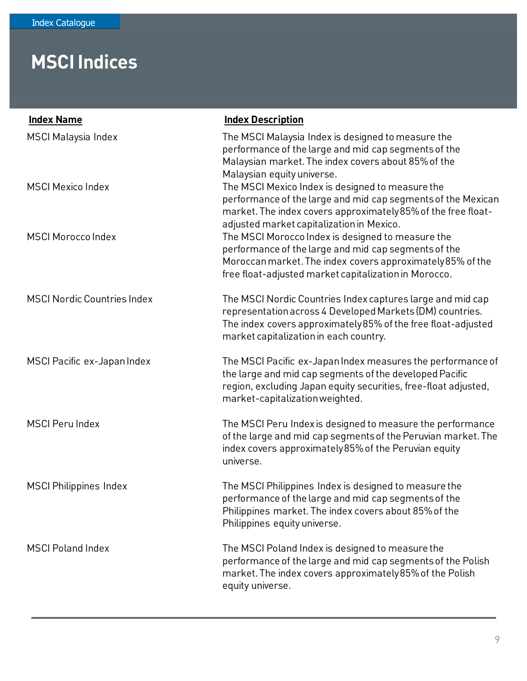| <b>Index Name</b>                  | <b>Index Description</b>                                                                                                                                                                                                           |
|------------------------------------|------------------------------------------------------------------------------------------------------------------------------------------------------------------------------------------------------------------------------------|
| <b>MSCI Malaysia Index</b>         | The MSCI Malaysia Index is designed to measure the<br>performance of the large and mid cap segments of the<br>Malaysian market. The index covers about 85% of the<br>Malaysian equity universe.                                    |
| <b>MSCI Mexico Index</b>           | The MSCI Mexico Index is designed to measure the<br>performance of the large and mid cap segments of the Mexican<br>market. The index covers approximately 85% of the free float-<br>adjusted market capitalization in Mexico.     |
| <b>MSCI Morocco Index</b>          | The MSCI Morocco Index is designed to measure the<br>performance of the large and mid cap segments of the<br>Moroccan market. The index covers approximately 85% of the<br>free float-adjusted market capitalization in Morocco.   |
| <b>MSCI Nordic Countries Index</b> | The MSCI Nordic Countries Index captures large and mid cap<br>representation across 4 Developed Markets (DM) countries.<br>The index covers approximately 85% of the free float-adjusted<br>market capitalization in each country. |
| MSCI Pacific ex-Japan Index        | The MSCI Pacific ex-Japan Index measures the performance of<br>the large and mid cap segments of the developed Pacific<br>region, excluding Japan equity securities, free-float adjusted,<br>market-capitalization weighted.       |
| <b>MSCI Peru Index</b>             | The MSCI Peru Index is designed to measure the performance<br>of the large and mid cap segments of the Peruvian market. The<br>index covers approximately 85% of the Peruvian equity<br>universe.                                  |
| <b>MSCI Philippines Index</b>      | The MSCI Philippines Index is designed to measure the<br>performance of the large and mid cap segments of the<br>Philippines market. The index covers about 85% of the<br>Philippines equity universe.                             |
| <b>MSCI Poland Index</b>           | The MSCI Poland Index is designed to measure the<br>performance of the large and mid cap segments of the Polish<br>market. The index covers approximately 85% of the Polish<br>equity universe.                                    |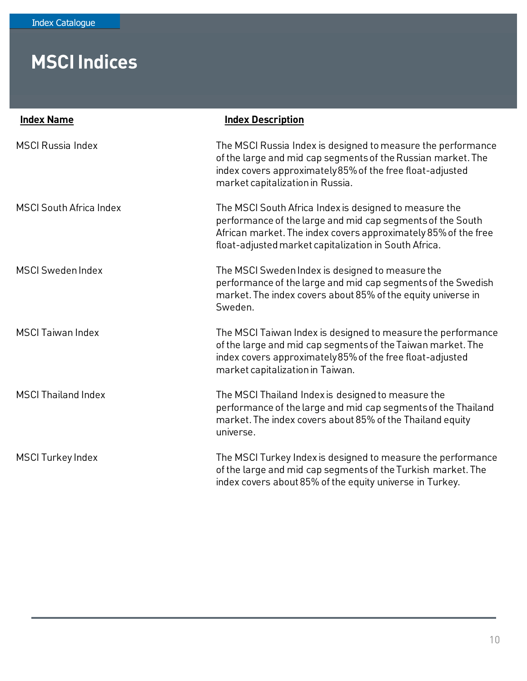| <b>Index Name</b>              | <b>Index Description</b>                                                                                                                                                                                                                        |
|--------------------------------|-------------------------------------------------------------------------------------------------------------------------------------------------------------------------------------------------------------------------------------------------|
| <b>MSCI Russia Index</b>       | The MSCI Russia Index is designed to measure the performance<br>of the large and mid cap segments of the Russian market. The<br>index covers approximately 85% of the free float-adjusted<br>market capitalization in Russia.                   |
| <b>MSCI South Africa Index</b> | The MSCI South Africa Index is designed to measure the<br>performance of the large and mid cap segments of the South<br>African market. The index covers approximately 85% of the free<br>float-adjusted market capitalization in South Africa. |
| <b>MSCI Sweden Index</b>       | The MSCI Sweden Index is designed to measure the<br>performance of the large and mid cap segments of the Swedish<br>market. The index covers about 85% of the equity universe in<br>Sweden.                                                     |
| <b>MSCI Taiwan Index</b>       | The MSCI Taiwan Index is designed to measure the performance<br>of the large and mid cap segments of the Taiwan market. The<br>index covers approximately 85% of the free float-adjusted<br>market capitalization in Taiwan.                    |
| <b>MSCI Thailand Index</b>     | The MSCI Thailand Index is designed to measure the<br>performance of the large and mid cap segments of the Thailand<br>market. The index covers about 85% of the Thailand equity<br>universe.                                                   |
| <b>MSCI Turkey Index</b>       | The MSCI Turkey Index is designed to measure the performance<br>of the large and mid cap segments of the Turkish market. The<br>index covers about 85% of the equity universe in Turkey.                                                        |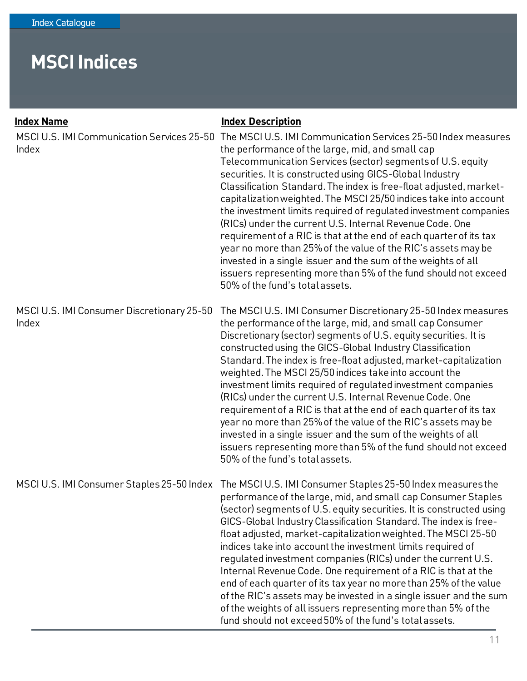| <b>Index Name</b><br>MSCI U.S. IMI Communication Services 25-50<br>Index | <b>Index Description</b><br>The MSCI U.S. IMI Communication Services 25-50 Index measures<br>the performance of the large, mid, and small cap<br>Telecommunication Services (sector) segments of U.S. equity<br>securities. It is constructed using GICS-Global Industry<br>Classification Standard. The index is free-float adjusted, market-<br>capitalization weighted. The MSCI 25/50 indices take into account<br>the investment limits required of regulated investment companies<br>(RICs) under the current U.S. Internal Revenue Code. One<br>requirement of a RIC is that at the end of each quarter of its tax<br>year no more than 25% of the value of the RIC's assets may be<br>invested in a single issuer and the sum of the weights of all<br>issuers representing more than 5% of the fund should not exceed<br>50% of the fund's total assets. |
|--------------------------------------------------------------------------|-------------------------------------------------------------------------------------------------------------------------------------------------------------------------------------------------------------------------------------------------------------------------------------------------------------------------------------------------------------------------------------------------------------------------------------------------------------------------------------------------------------------------------------------------------------------------------------------------------------------------------------------------------------------------------------------------------------------------------------------------------------------------------------------------------------------------------------------------------------------|
| MSCI U.S. IMI Consumer Discretionary 25-50<br>Index                      | The MSCI U.S. IMI Consumer Discretionary 25-50 Index measures<br>the performance of the large, mid, and small cap Consumer<br>Discretionary (sector) segments of U.S. equity securities. It is<br>constructed using the GICS-Global Industry Classification<br>Standard. The index is free-float adjusted, market-capitalization<br>weighted. The MSCI 25/50 indices take into account the<br>investment limits required of regulated investment companies<br>(RICs) under the current U.S. Internal Revenue Code. One<br>requirement of a RIC is that at the end of each quarter of its tax<br>year no more than 25% of the value of the RIC's assets may be<br>invested in a single issuer and the sum of the weights of all<br>issuers representing more than 5% of the fund should not exceed<br>50% of the fund's total assets.                              |
|                                                                          | MSCI U.S. IMI Consumer Staples 25-50 Index The MSCI U.S. IMI Consumer Staples 25-50 Index measures the<br>performance of the large, mid, and small cap Consumer Staples<br>(sector) segments of U.S. equity securities. It is constructed using<br>GICS-Global Industry Classification Standard. The index is free-<br>float adjusted, market-capitalization weighted. The MSCI 25-50<br>indices take into account the investment limits required of<br>regulated investment companies (RICs) under the current U.S.<br>Internal Revenue Code. One requirement of a RIC is that at the<br>end of each quarter of its tax year no more than 25% of the value<br>of the RIC's assets may be invested in a single issuer and the sum<br>of the weights of all issuers representing more than 5% of the<br>fund should not exceed 50% of the fund's total assets.     |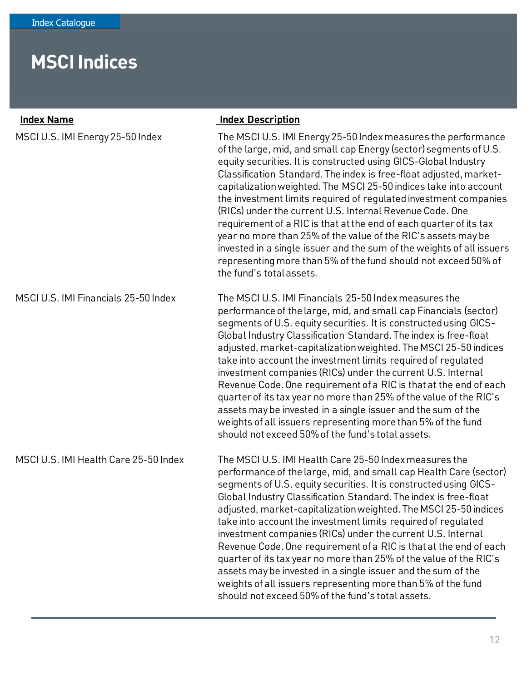| <b>Index Name</b>                     | <b>Index Description</b>                                                                                                                                                                                                                                                                                                                                                                                                                                                                                                                                                                                                                                                                                                                                                                                 |
|---------------------------------------|----------------------------------------------------------------------------------------------------------------------------------------------------------------------------------------------------------------------------------------------------------------------------------------------------------------------------------------------------------------------------------------------------------------------------------------------------------------------------------------------------------------------------------------------------------------------------------------------------------------------------------------------------------------------------------------------------------------------------------------------------------------------------------------------------------|
| MSCI U.S. IMI Energy 25-50 Index      | The MSCI U.S. IMI Energy 25-50 Index measures the performance<br>of the large, mid, and small cap Energy (sector) segments of U.S.<br>equity securities. It is constructed using GICS-Global Industry<br>Classification Standard. The index is free-float adjusted, market-<br>capitalization weighted. The MSCI 25-50 indices take into account<br>the investment limits required of regulated investment companies<br>(RICs) under the current U.S. Internal Revenue Code. One<br>requirement of a RIC is that at the end of each quarter of its tax<br>year no more than 25% of the value of the RIC's assets may be<br>invested in a single issuer and the sum of the weights of all issuers<br>representing more than 5% of the fund should not exceed 50% of<br>the fund's total assets.           |
| MSCI U.S. IMI Financials 25-50 Index  | The MSCI U.S. IMI Financials 25-50 Index measures the<br>performance of the large, mid, and small cap Financials (sector)<br>segments of U.S. equity securities. It is constructed using GICS-<br>Global Industry Classification Standard. The index is free-float<br>adjusted, market-capitalization weighted. The MSCI 25-50 indices<br>take into account the investment limits required of regulated<br>investment companies (RICs) under the current U.S. Internal<br>Revenue Code. One requirement of a RIC is that at the end of each<br>quarter of its tax year no more than 25% of the value of the RIC's<br>assets may be invested in a single issuer and the sum of the<br>weights of all issuers representing more than 5% of the fund<br>should not exceed 50% of the fund's total assets.   |
| MSCI U.S. IMI Health Care 25-50 Index | The MSCI U.S. IMI Health Care 25-50 Index measures the<br>performance of the large, mid, and small cap Health Care (sector)<br>segments of U.S. equity securities. It is constructed using GICS-<br>Global Industry Classification Standard. The index is free-float<br>adjusted, market-capitalization weighted. The MSCI 25-50 indices<br>take into account the investment limits required of requlated<br>investment companies (RICs) under the current U.S. Internal<br>Revenue Code. One requirement of a RIC is that at the end of each<br>quarter of its tax year no more than 25% of the value of the RIC's<br>assets may be invested in a single issuer and the sum of the<br>weights of all issuers representing more than 5% of the fund<br>should not exceed 50% of the fund's total assets. |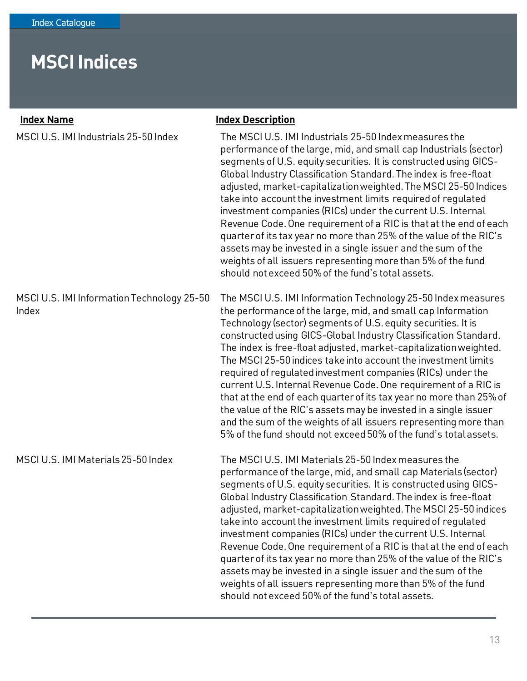| <b>Index Name</b>                                   | <b>Index Description</b>                                                                                                                                                                                                                                                                                                                                                                                                                                                                                                                                                                                                                                                                                                                                                                                                      |
|-----------------------------------------------------|-------------------------------------------------------------------------------------------------------------------------------------------------------------------------------------------------------------------------------------------------------------------------------------------------------------------------------------------------------------------------------------------------------------------------------------------------------------------------------------------------------------------------------------------------------------------------------------------------------------------------------------------------------------------------------------------------------------------------------------------------------------------------------------------------------------------------------|
| MSCI U.S. IMI Industrials 25-50 Index               | The MSCI U.S. IMI Industrials 25-50 Index measures the<br>performance of the large, mid, and small cap Industrials (sector)<br>segments of U.S. equity securities. It is constructed using GICS-<br>Global Industry Classification Standard. The index is free-float<br>adjusted, market-capitalization weighted. The MSCI 25-50 Indices<br>take into account the investment limits required of regulated<br>investment companies (RICs) under the current U.S. Internal<br>Revenue Code. One requirement of a RIC is that at the end of each<br>quarter of its tax year no more than 25% of the value of the RIC's<br>assets may be invested in a single issuer and the sum of the<br>weights of all issuers representing more than 5% of the fund<br>should not exceed 50% of the fund's total assets.                      |
| MSCI U.S. IMI Information Technology 25-50<br>Index | The MSCI U.S. IMI Information Technology 25-50 Index measures<br>the performance of the large, mid, and small cap Information<br>Technology (sector) segments of U.S. equity securities. It is<br>constructed using GICS-Global Industry Classification Standard.<br>The index is free-float adjusted, market-capitalization weighted.<br>The MSCI 25-50 indices take into account the investment limits<br>required of regulated investment companies (RICs) under the<br>current U.S. Internal Revenue Code. One requirement of a RIC is<br>that at the end of each quarter of its tax year no more than 25% of<br>the value of the RIC's assets may be invested in a single issuer<br>and the sum of the weights of all issuers representing more than<br>5% of the fund should not exceed 50% of the fund's total assets. |
| MSCI U.S. IMI Materials 25-50 Index                 | The MSCI U.S. IMI Materials 25-50 Index measures the<br>performance of the large, mid, and small cap Materials (sector)<br>segments of U.S. equity securities. It is constructed using GICS-<br>Global Industry Classification Standard. The index is free-float<br>adjusted, market-capitalization weighted. The MSCI 25-50 indices<br>take into account the investment limits required of regulated<br>investment companies (RICs) under the current U.S. Internal<br>Revenue Code. One requirement of a RIC is that at the end of each<br>quarter of its tax year no more than 25% of the value of the RIC's<br>assets may be invested in a single issuer and the sum of the<br>weights of all issuers representing more than 5% of the fund<br>should not exceed 50% of the fund's total assets.                          |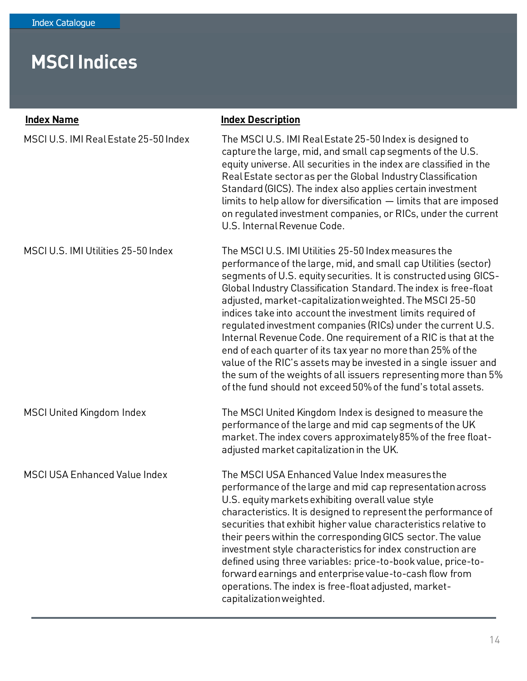| <b>Index Name</b>                     | <b>Index Description</b>                                                                                                                                                                                                                                                                                                                                                                                                                                                                                                                                                                                                                                                                                                                                                                             |
|---------------------------------------|------------------------------------------------------------------------------------------------------------------------------------------------------------------------------------------------------------------------------------------------------------------------------------------------------------------------------------------------------------------------------------------------------------------------------------------------------------------------------------------------------------------------------------------------------------------------------------------------------------------------------------------------------------------------------------------------------------------------------------------------------------------------------------------------------|
| MSCI U.S. IMI Real Estate 25-50 Index | The MSCI U.S. IMI Real Estate 25-50 Index is designed to<br>capture the large, mid, and small cap segments of the U.S.<br>equity universe. All securities in the index are classified in the<br>Real Estate sector as per the Global Industry Classification<br>Standard (GICS). The index also applies certain investment<br>limits to help allow for diversification - limits that are imposed<br>on regulated investment companies, or RICs, under the current<br>U.S. Internal Revenue Code.                                                                                                                                                                                                                                                                                                     |
| MSCI U.S. IMI Utilities 25-50 Index   | The MSCI U.S. IMI Utilities 25-50 Index measures the<br>performance of the large, mid, and small cap Utilities (sector)<br>segments of U.S. equity securities. It is constructed using GICS-<br>Global Industry Classification Standard. The index is free-float<br>adjusted, market-capitalization weighted. The MSCI 25-50<br>indices take into account the investment limits required of<br>regulated investment companies (RICs) under the current U.S.<br>Internal Revenue Code. One requirement of a RIC is that at the<br>end of each quarter of its tax year no more than 25% of the<br>value of the RIC's assets may be invested in a single issuer and<br>the sum of the weights of all issuers representing more than 5%<br>of the fund should not exceed 50% of the fund's total assets. |
| MSCI United Kingdom Index             | The MSCI United Kingdom Index is designed to measure the<br>performance of the large and mid cap segments of the UK<br>market. The index covers approximately 85% of the free float-<br>adjusted market capitalization in the UK.                                                                                                                                                                                                                                                                                                                                                                                                                                                                                                                                                                    |
| <b>MSCI USA Enhanced Value Index</b>  | The MSCI USA Enhanced Value Index measures the<br>performance of the large and mid cap representation across<br>U.S. equity markets exhibiting overall value style<br>characteristics. It is designed to represent the performance of<br>securities that exhibit higher value characteristics relative to<br>their peers within the corresponding GICS sector. The value<br>investment style characteristics for index construction are<br>defined using three variables: price-to-book value, price-to-<br>forward earnings and enterprise value-to-cash flow from<br>operations. The index is free-float adjusted, market-<br>capitalization weighted.                                                                                                                                             |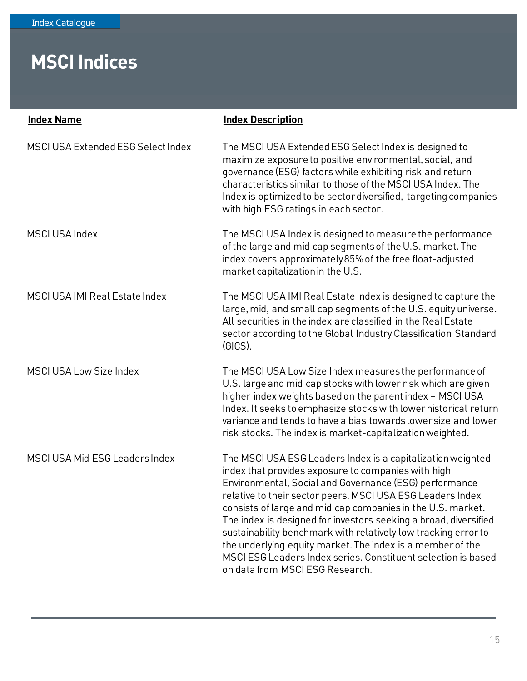| <b>Index Name</b>                     | <b>Index Description</b>                                                                                                                                                                                                                                                                                                                                                                                                                                                                                                                                                                                          |
|---------------------------------------|-------------------------------------------------------------------------------------------------------------------------------------------------------------------------------------------------------------------------------------------------------------------------------------------------------------------------------------------------------------------------------------------------------------------------------------------------------------------------------------------------------------------------------------------------------------------------------------------------------------------|
| MSCI USA Extended ESG Select Index    | The MSCI USA Extended ESG Select Index is designed to<br>maximize exposure to positive environmental, social, and<br>governance (ESG) factors while exhibiting risk and return<br>characteristics similar to those of the MSCI USA Index. The<br>Index is optimized to be sector diversified, targeting companies<br>with high ESG ratings in each sector.                                                                                                                                                                                                                                                        |
| <b>MSCI USA Index</b>                 | The MSCI USA Index is designed to measure the performance<br>of the large and mid cap segments of the U.S. market. The<br>index covers approximately 85% of the free float-adjusted<br>market capitalization in the U.S.                                                                                                                                                                                                                                                                                                                                                                                          |
| <b>MSCI USA IMI Real Estate Index</b> | The MSCI USA IMI Real Estate Index is designed to capture the<br>large, mid, and small cap segments of the U.S. equity universe.<br>All securities in the index are classified in the Real Estate<br>sector according to the Global Industry Classification Standard<br>(GICS).                                                                                                                                                                                                                                                                                                                                   |
| <b>MSCI USA Low Size Index</b>        | The MSCI USA Low Size Index measures the performance of<br>U.S. large and mid cap stocks with lower risk which are given<br>higher index weights based on the parent index - MSCI USA<br>Index. It seeks to emphasize stocks with lower historical return<br>variance and tends to have a bias towards lower size and lower<br>risk stocks. The index is market-capitalization weighted.                                                                                                                                                                                                                          |
| MSCI USA Mid ESG Leaders Index        | The MSCI USA ESG Leaders Index is a capitalization weighted<br>index that provides exposure to companies with high<br>Environmental, Social and Governance (ESG) performance<br>relative to their sector peers. MSCI USA ESG Leaders Index<br>consists of large and mid cap companies in the U.S. market.<br>The index is designed for investors seeking a broad, diversified<br>sustainability benchmark with relatively low tracking error to<br>the underlying equity market. The index is a member of the<br>MSCI ESG Leaders Index series. Constituent selection is based<br>on data from MSCI ESG Research. |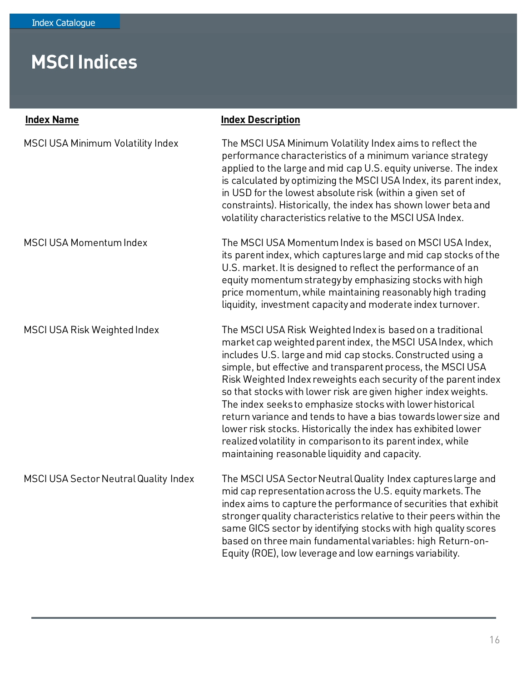| <b>Index Name</b>                        | <b>Index Description</b>                                                                                                                                                                                                                                                                                                                                                                                                                                                                                                                                                                                                                                                                                        |
|------------------------------------------|-----------------------------------------------------------------------------------------------------------------------------------------------------------------------------------------------------------------------------------------------------------------------------------------------------------------------------------------------------------------------------------------------------------------------------------------------------------------------------------------------------------------------------------------------------------------------------------------------------------------------------------------------------------------------------------------------------------------|
| <b>MSCI USA Minimum Volatility Index</b> | The MSCI USA Minimum Volatility Index aims to reflect the<br>performance characteristics of a minimum variance strategy<br>applied to the large and mid cap U.S. equity universe. The index<br>is calculated by optimizing the MSCI USA Index, its parent index,<br>in USD for the lowest absolute risk (within a given set of<br>constraints). Historically, the index has shown lower beta and<br>volatility characteristics relative to the MSCI USA Index.                                                                                                                                                                                                                                                  |
| MSCI USA Momentum Index                  | The MSCI USA Momentum Index is based on MSCI USA Index,<br>its parent index, which captures large and mid cap stocks of the<br>U.S. market. It is designed to reflect the performance of an<br>equity momentum strategy by emphasizing stocks with high<br>price momentum, while maintaining reasonably high trading<br>liquidity, investment capacity and moderate index turnover.                                                                                                                                                                                                                                                                                                                             |
| MSCI USA Risk Weighted Index             | The MSCI USA Risk Weighted Index is based on a traditional<br>market cap weighted parent index, the MSCI USA Index, which<br>includes U.S. large and mid cap stocks. Constructed using a<br>simple, but effective and transparent process, the MSCI USA<br>Risk Weighted Index reweights each security of the parent index<br>so that stocks with lower risk are given higher index weights.<br>The index seeks to emphasize stocks with lower historical<br>return variance and tends to have a bias towards lower size and<br>lower risk stocks. Historically the index has exhibited lower<br>realized volatility in comparison to its parent index, while<br>maintaining reasonable liquidity and capacity. |
| MSCI USA Sector Neutral Quality Index    | The MSCI USA Sector Neutral Quality Index captures large and<br>mid cap representation across the U.S. equity markets. The<br>index aims to capture the performance of securities that exhibit<br>stronger quality characteristics relative to their peers within the<br>same GICS sector by identifying stocks with high quality scores<br>based on three main fundamental variables: high Return-on-<br>Equity (ROE), low leverage and low earnings variability.                                                                                                                                                                                                                                              |